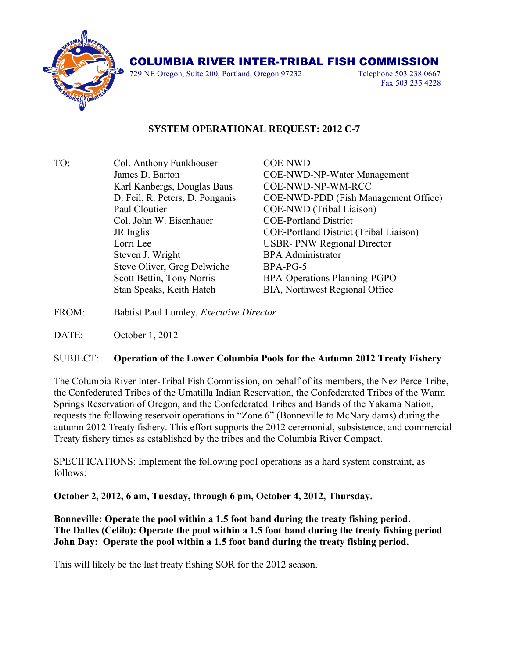

## COLUMBIA RIVER INTER-TRIBAL FISH COMMISSION

729 NE Oregon, Suite 200, Portland, Oregon 97232 Telephone 503 238 0667

Fax 503 235 4228

## **SYSTEM OPERATIONAL REQUEST: 2012 C-7**

- TO: Col. Anthony Funkhouser COE-NWD James D. Barton COE-NWD-NP-Water Management Karl Kanbergs, Douglas Baus COE-NWD-NP-WM-RCC D. Feil, R. Peters, D. Ponganis COE-NWD-PDD (Fish Management Office) Paul Cloutier COE-NWD (Tribal Liaison) Col. John W. Eisenhauer COE-Portland District JR Inglis COE-Portland District (Tribal Liaison) Lorri Lee USBR- PNW Regional Director Steven J. Wright BPA Administrator Steve Oliver, Greg Delwiche BPA-PG-5 Scott Bettin, Tony Norris BPA-Operations Planning-PGPO Stan Speaks, Keith Hatch BIA, Northwest Regional Office
- FROM: Babtist Paul Lumley, *Executive Director*

DATE: October 1, 2012

## SUBJECT: **Operation of the Lower Columbia Pools for the Autumn 2012 Treaty Fishery**

The Columbia River Inter-Tribal Fish Commission, on behalf of its members, the Nez Perce Tribe, the Confederated Tribes of the Umatilla Indian Reservation, the Confederated Tribes of the Warm Springs Reservation of Oregon, and the Confederated Tribes and Bands of the Yakama Nation, requests the following reservoir operations in "Zone 6" (Bonneville to McNary dams) during the autumn 2012 Treaty fishery. This effort supports the 2012 ceremonial, subsistence, and commercial Treaty fishery times as established by the tribes and the Columbia River Compact.

SPECIFICATIONS: Implement the following pool operations as a hard system constraint, as follows:

**October 2, 2012, 6 am, Tuesday, through 6 pm, October 4, 2012, Thursday.**

**Bonneville: Operate the pool within a 1.5 foot band during the treaty fishing period. The Dalles (Celilo): Operate the pool within a 1.5 foot band during the treaty fishing period John Day: Operate the pool within a 1.5 foot band during the treaty fishing period.**

This will likely be the last treaty fishing SOR for the 2012 season.